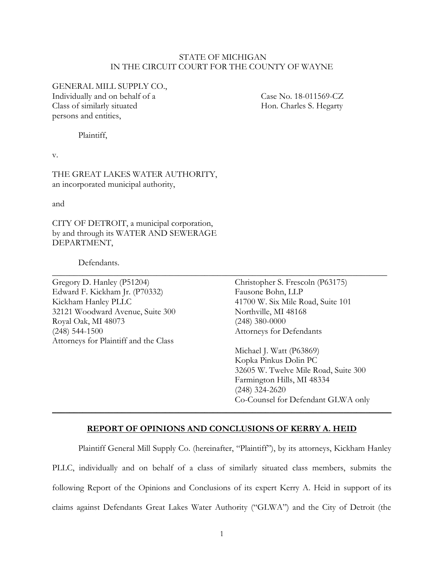#### STATE OF MICHIGAN IN THE CIRCUIT COURT FOR THE COUNTY OF WAYNE

GENERAL MILL SUPPLY CO.,

Individually and on behalf of a Case No. 18-011569-CZ Class of similarly situated Hon. Charles S. Hegarty persons and entities,

Plaintiff,

v.

THE GREAT LAKES WATER AUTHORITY, an incorporated municipal authority,

and

CITY OF DETROIT, a municipal corporation, by and through its WATER AND SEWERAGE DEPARTMENT,

Defendants.

Gregory D. Hanley (P51204) Christopher S. Frescoln (P63175) Edward F. Kickham Jr. (P70332) Fausone Bohn, LLP Kickham Hanley PLLC 41700 W. Six Mile Road, Suite 101 32121 Woodward Avenue, Suite 300 Northville, MI 48168 Royal Oak, MI 48073 (248) 380-0000 (248) 544-1500 Attorneys for Defendants Attorneys for Plaintiff and the Class

Michael J. Watt (P63869) Kopka Pinkus Dolin PC 32605 W. Twelve Mile Road, Suite 300 Farmington Hills, MI 48334 (248) 324-2620 Co-Counsel for Defendant GLWA only

#### **REPORT OF OPINIONS AND CONCLUSIONS OF KERRY A. HEID**

**\_\_\_\_\_\_\_\_\_\_\_\_\_\_\_\_\_\_\_\_\_\_\_\_\_\_\_\_\_\_\_\_\_\_\_\_\_\_\_\_\_\_\_\_\_\_\_\_\_\_\_\_\_\_\_\_\_\_\_\_\_\_\_\_\_\_\_\_\_\_\_\_\_\_\_\_\_\_**

\_\_\_\_\_\_\_\_\_\_\_\_\_\_\_\_\_\_\_\_\_\_\_\_\_\_\_\_\_\_\_\_\_\_\_\_\_\_\_\_\_\_\_\_\_\_\_\_\_\_\_\_\_\_\_\_\_\_\_\_\_\_\_\_\_\_\_\_\_\_\_\_\_\_\_\_\_

Plaintiff General Mill Supply Co. (hereinafter, "Plaintiff"), by its attorneys, Kickham Hanley PLLC, individually and on behalf of a class of similarly situated class members, submits the following Report of the Opinions and Conclusions of its expert Kerry A. Heid in support of its claims against Defendants Great Lakes Water Authority ("GLWA") and the City of Detroit (the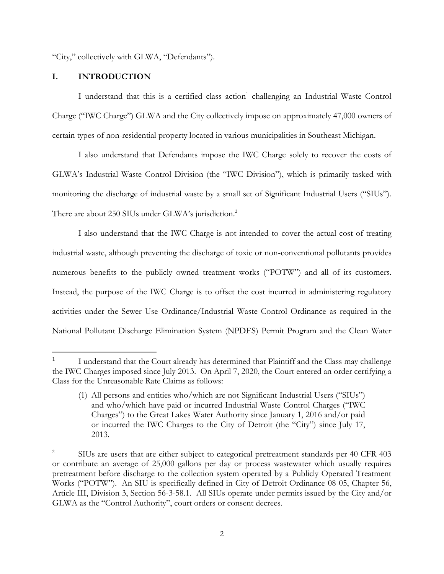"City," collectively with GLWA, "Defendants").

### **I. INTRODUCTION**

I understand that this is a certified class action<sup>1</sup> challenging an Industrial Waste Control Charge ("IWC Charge") GLWA and the City collectively impose on approximately 47,000 owners of certain types of non-residential property located in various municipalities in Southeast Michigan.

I also understand that Defendants impose the IWC Charge solely to recover the costs of GLWA's Industrial Waste Control Division (the "IWC Division"), which is primarily tasked with monitoring the discharge of industrial waste by a small set of Significant Industrial Users ("SIUs"). There are about 250 SIUs under GLWA's jurisdiction.<sup>2</sup>

I also understand that the IWC Charge is not intended to cover the actual cost of treating industrial waste, although preventing the discharge of toxic or non-conventional pollutants provides numerous benefits to the publicly owned treatment works ("POTW") and all of its customers. Instead, the purpose of the IWC Charge is to offset the cost incurred in administering regulatory activities under the Sewer Use Ordinance/Industrial Waste Control Ordinance as required in the National Pollutant Discharge Elimination System (NPDES) Permit Program and the Clean Water

<sup>1</sup> I understand that the Court already has determined that Plaintiff and the Class may challenge the IWC Charges imposed since July 2013. On April 7, 2020, the Court entered an order certifying a Class for the Unreasonable Rate Claims as follows:

<sup>(1)</sup> All persons and entities who/which are not Significant Industrial Users ("SIUs") and who/which have paid or incurred Industrial Waste Control Charges ("IWC Charges") to the Great Lakes Water Authority since January 1, 2016 and/or paid or incurred the IWC Charges to the City of Detroit (the "City") since July 17, 2013.

<sup>2</sup> SIUs are users that are either subject to categorical pretreatment standards per 40 CFR 403 or contribute an average of 25,000 gallons per day or process wastewater which usually requires pretreatment before discharge to the collection system operated by a Publicly Operated Treatment Works ("POTW"). An SIU is specifically defined in City of Detroit Ordinance 08-05, Chapter 56, Article III, Division 3, Section 56-3-58.1. All SIUs operate under permits issued by the City and/or GLWA as the "Control Authority", court orders or consent decrees.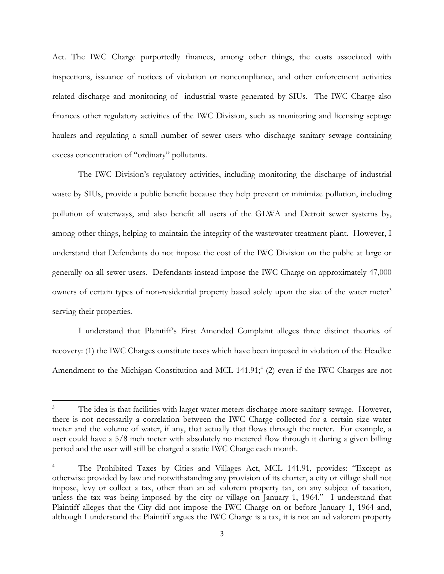Act. The IWC Charge purportedly finances, among other things, the costs associated with inspections, issuance of notices of violation or noncompliance, and other enforcement activities related discharge and monitoring of industrial waste generated by SIUs. The IWC Charge also finances other regulatory activities of the IWC Division, such as monitoring and licensing septage haulers and regulating a small number of sewer users who discharge sanitary sewage containing excess concentration of "ordinary" pollutants.

The IWC Division's regulatory activities, including monitoring the discharge of industrial waste by SIUs, provide a public benefit because they help prevent or minimize pollution, including pollution of waterways, and also benefit all users of the GLWA and Detroit sewer systems by, among other things, helping to maintain the integrity of the wastewater treatment plant. However, I understand that Defendants do not impose the cost of the IWC Division on the public at large or generally on all sewer users. Defendants instead impose the IWC Charge on approximately 47,000 owners of certain types of non-residential property based solely upon the size of the water meter<sup>3</sup> serving their properties.

I understand that Plaintiff's First Amended Complaint alleges three distinct theories of recovery: (1) the IWC Charges constitute taxes which have been imposed in violation of the Headlee Amendment to the Michigan Constitution and MCL 141.91;<sup>4</sup> (2) even if the IWC Charges are not

The idea is that facilities with larger water meters discharge more sanitary sewage. However, there is not necessarily a correlation between the IWC Charge collected for a certain size water meter and the volume of water, if any, that actually that flows through the meter. For example, a user could have a 5/8 inch meter with absolutely no metered flow through it during a given billing period and the user will still be charged a static IWC Charge each month.

<sup>4</sup> The Prohibited Taxes by Cities and Villages Act, MCL 141.91, provides: "Except as otherwise provided by law and notwithstanding any provision of its charter, a city or village shall not impose, levy or collect a tax, other than an ad valorem property tax, on any subject of taxation, unless the tax was being imposed by the city or village on January 1, 1964." I understand that Plaintiff alleges that the City did not impose the IWC Charge on or before January 1, 1964 and, although I understand the Plaintiff argues the IWC Charge is a tax, it is not an ad valorem property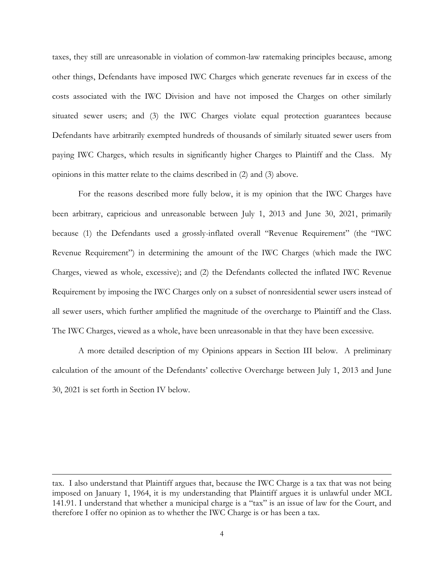taxes, they still are unreasonable in violation of common-law ratemaking principles because, among other things, Defendants have imposed IWC Charges which generate revenues far in excess of the costs associated with the IWC Division and have not imposed the Charges on other similarly situated sewer users; and (3) the IWC Charges violate equal protection guarantees because Defendants have arbitrarily exempted hundreds of thousands of similarly situated sewer users from paying IWC Charges, which results in significantly higher Charges to Plaintiff and the Class. My opinions in this matter relate to the claims described in (2) and (3) above.

For the reasons described more fully below, it is my opinion that the IWC Charges have been arbitrary, capricious and unreasonable between July 1, 2013 and June 30, 2021, primarily because (1) the Defendants used a grossly-inflated overall "Revenue Requirement" (the "IWC Revenue Requirement") in determining the amount of the IWC Charges (which made the IWC Charges, viewed as whole, excessive); and (2) the Defendants collected the inflated IWC Revenue Requirement by imposing the IWC Charges only on a subset of nonresidential sewer users instead of all sewer users, which further amplified the magnitude of the overcharge to Plaintiff and the Class. The IWC Charges, viewed as a whole, have been unreasonable in that they have been excessive.

A more detailed description of my Opinions appears in Section III below. A preliminary calculation of the amount of the Defendants' collective Overcharge between July 1, 2013 and June 30, 2021 is set forth in Section IV below.

tax. I also understand that Plaintiff argues that, because the IWC Charge is a tax that was not being imposed on January 1, 1964, it is my understanding that Plaintiff argues it is unlawful under MCL 141.91. I understand that whether a municipal charge is a "tax" is an issue of law for the Court, and therefore I offer no opinion as to whether the IWC Charge is or has been a tax.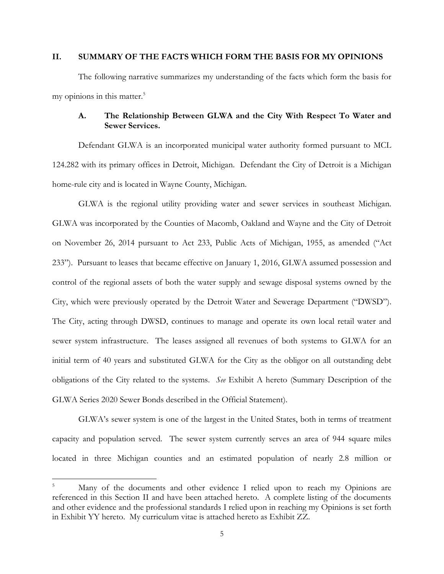# **II. SUMMARY OF THE FACTS WHICH FORM THE BASIS FOR MY OPINIONS**

The following narrative summarizes my understanding of the facts which form the basis for my opinions in this matter.<sup>5</sup>

## **A. The Relationship Between GLWA and the City With Respect To Water and Sewer Services.**

Defendant GLWA is an incorporated municipal water authority formed pursuant to MCL 124.282 with its primary offices in Detroit, Michigan. Defendant the City of Detroit is a Michigan home-rule city and is located in Wayne County, Michigan.

GLWA is the regional utility providing water and sewer services in southeast Michigan. GLWA was incorporated by the Counties of Macomb, Oakland and Wayne and the City of Detroit on November 26, 2014 pursuant to Act 233, Public Acts of Michigan, 1955, as amended ("Act 233"). Pursuant to leases that became effective on January 1, 2016, GLWA assumed possession and control of the regional assets of both the water supply and sewage disposal systems owned by the City, which were previously operated by the Detroit Water and Sewerage Department ("DWSD"). The City, acting through DWSD, continues to manage and operate its own local retail water and sewer system infrastructure. The leases assigned all revenues of both systems to GLWA for an initial term of 40 years and substituted GLWA for the City as the obligor on all outstanding debt obligations of the City related to the systems. *See* Exhibit A hereto (Summary Description of the GLWA Series 2020 Sewer Bonds described in the Official Statement).

GLWA's sewer system is one of the largest in the United States, both in terms of treatment capacity and population served. The sewer system currently serves an area of 944 square miles located in three Michigan counties and an estimated population of nearly 2.8 million or

Many of the documents and other evidence I relied upon to reach my Opinions are referenced in this Section II and have been attached hereto. A complete listing of the documents and other evidence and the professional standards I relied upon in reaching my Opinions is set forth in Exhibit YY hereto. My curriculum vitae is attached hereto as Exhibit ZZ.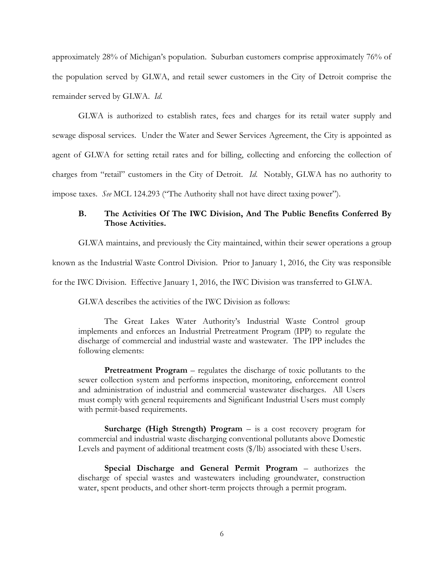approximately 28% of Michigan's population. Suburban customers comprise approximately 76% of the population served by GLWA, and retail sewer customers in the City of Detroit comprise the remainder served by GLWA. *Id*.

GLWA is authorized to establish rates, fees and charges for its retail water supply and sewage disposal services. Under the Water and Sewer Services Agreement, the City is appointed as agent of GLWA for setting retail rates and for billing, collecting and enforcing the collection of charges from "retail" customers in the City of Detroit. *Id*. Notably, GLWA has no authority to impose taxes. *See* MCL 124.293 ("The Authority shall not have direct taxing power").

# **B. The Activities Of The IWC Division, And The Public Benefits Conferred By Those Activities.**

GLWA maintains, and previously the City maintained, within their sewer operations a group

known as the Industrial Waste Control Division. Prior to January 1, 2016, the City was responsible

for the IWC Division. Effective January 1, 2016, the IWC Division was transferred to GLWA.

GLWA describes the activities of the IWC Division as follows:

The Great Lakes Water Authority's Industrial Waste Control group implements and enforces an Industrial Pretreatment Program (IPP) to regulate the discharge of commercial and industrial waste and wastewater. The IPP includes the following elements:

**Pretreatment Program** – regulates the discharge of toxic pollutants to the sewer collection system and performs inspection, monitoring, enforcement control and administration of industrial and commercial wastewater discharges. All Users must comply with general requirements and Significant Industrial Users must comply with permit-based requirements.

**Surcharge (High Strength) Program** – is a cost recovery program for commercial and industrial waste discharging conventional pollutants above Domestic Levels and payment of additional treatment costs (\$/lb) associated with these Users.

**Special Discharge and General Permit Program** – authorizes the discharge of special wastes and wastewaters including groundwater, construction water, spent products, and other short-term projects through a permit program.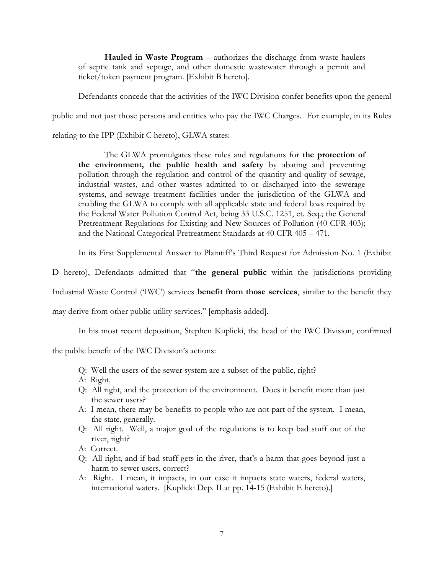**Hauled in Waste Program** – authorizes the discharge from waste haulers of septic tank and septage, and other domestic wastewater through a permit and ticket/token payment program. [Exhibit B hereto].

Defendants concede that the activities of the IWC Division confer benefits upon the general public and not just those persons and entities who pay the IWC Charges. For example, in its Rules

relating to the IPP (Exhibit C hereto), GLWA states:

The GLWA promulgates these rules and regulations for **the protection of the environment, the public health and safety** by abating and preventing pollution through the regulation and control of the quantity and quality of sewage, industrial wastes, and other wastes admitted to or discharged into the sewerage systems, and sewage treatment facilities under the jurisdiction of the GLWA and enabling the GLWA to comply with all applicable state and federal laws required by the Federal Water Pollution Control Act, being 33 U.S.C. 1251, et. Seq.; the General Pretreatment Regulations for Existing and New Sources of Pollution (40 CFR 403); and the National Categorical Pretreatment Standards at 40 CFR 405 – 471.

In its First Supplemental Answer to Plaintiff's Third Request for Admission No. 1 (Exhibit

D hereto), Defendants admitted that "**the general public** within the jurisdictions providing

Industrial Waste Control ('IWC') services **benefit from those services**, similar to the benefit they

may derive from other public utility services." [emphasis added].

In his most recent deposition, Stephen Kuplicki, the head of the IWC Division, confirmed

the public benefit of the IWC Division's actions:

- Q: Well the users of the sewer system are a subset of the public, right?
- A: Right.
- Q: All right, and the protection of the environment. Does it benefit more than just the sewer users?
- A: I mean, there may be benefits to people who are not part of the system. I mean, the state, generally.
- Q: All right. Well, a major goal of the regulations is to keep bad stuff out of the river, right?
- A: Correct.
- Q: All right, and if bad stuff gets in the river, that's a harm that goes beyond just a harm to sewer users, correct?
- A: Right. I mean, it impacts, in our case it impacts state waters, federal waters, international waters. [Kuplicki Dep. II at pp. 14-15 (Exhibit E hereto).]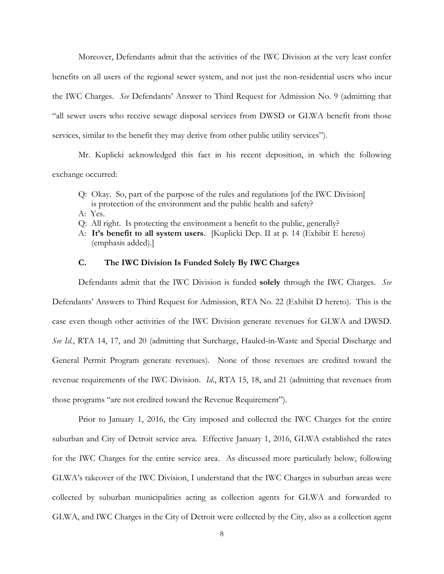Moreover, Defendants admit that the activities of the IWC Division at the very least confer benefits on all users of the regional sewer system, and not just the non-residential users who incur the IWC Charges. *See* Defendants' Answer to Third Request for Admission No. 9 (admitting that "all sewer users who receive sewage disposal services from DWSD or GLWA benefit from those services, similar to the benefit they may derive from other public utility services").

Mr. Kuplicki acknowledged this fact in his recent deposition, in which the following exchange occurred:

- Q: Okay. So, part of the purpose of the rules and regulations [of the IWC Division] is protection of the environment and the public health and safety?
- A: Yes.
- Q: All right. Is protecting the environment a benefit to the public, generally?
- A: **It's benefit to all system users**. [Kuplicki Dep. II at p. 14 (Exhibit E hereto) (emphasis added).]

### **C. The IWC Division Is Funded Solely By IWC Charges**

Defendants admit that the IWC Division is funded **solely** through the IWC Charges. *See* Defendants' Answers to Third Request for Admission, RTA No. 22 (Exhibit D hereto). This is the case even though other activities of the IWC Division generate revenues for GLWA and DWSD. *See Id.*, RTA 14, 17, and 20 (admitting that Surcharge, Hauled-in-Waste and Special Discharge and General Permit Program generate revenues). None of those revenues are credited toward the revenue requirements of the IWC Division. *Id*., RTA 15, 18, and 21 (admitting that revenues from those programs "are not credited toward the Revenue Requirement").

Prior to January 1, 2016, the City imposed and collected the IWC Charges for the entire suburban and City of Detroit service area. Effective January 1, 2016, GLWA established the rates for the IWC Charges for the entire service area. As discussed more particularly below, following GLWA's takeover of the IWC Division, I understand that the IWC Charges in suburban areas were collected by suburban municipalities acting as collection agents for GLWA and forwarded to GLWA, and IWC Charges in the City of Detroit were collected by the City, also as a collection agent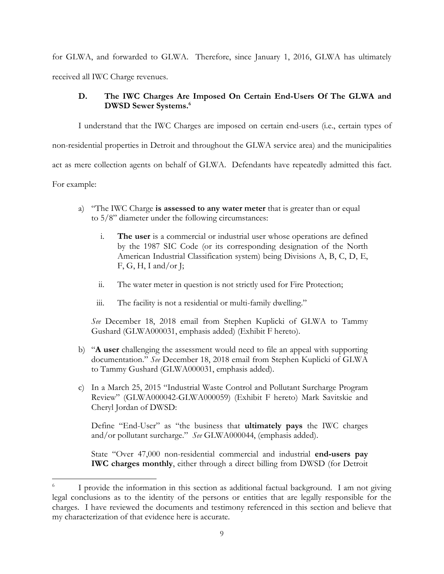for GLWA, and forwarded to GLWA. Therefore, since January 1, 2016, GLWA has ultimately received all IWC Charge revenues.

# **D. The IWC Charges Are Imposed On Certain End-Users Of The GLWA and DWSD Sewer Systems.<sup>6</sup>**

I understand that the IWC Charges are imposed on certain end-users (i.e., certain types of non-residential properties in Detroit and throughout the GLWA service area) and the municipalities act as mere collection agents on behalf of GLWA. Defendants have repeatedly admitted this fact. For example:

- a) "The IWC Charge **is assessed to any water meter** that is greater than or equal to 5/8" diameter under the following circumstances:
	- i. **The user** is a commercial or industrial user whose operations are defined by the 1987 SIC Code (or its corresponding designation of the North American Industrial Classification system) being Divisions A, B, C, D, E, F, G, H, I and/or J;
	- ii. The water meter in question is not strictly used for Fire Protection;
	- iii. The facility is not a residential or multi-family dwelling."

*See* December 18, 2018 email from Stephen Kuplicki of GLWA to Tammy Gushard (GLWA000031, emphasis added) (Exhibit F hereto).

- b) "**A user** challenging the assessment would need to file an appeal with supporting documentation." *See* December 18, 2018 email from Stephen Kuplicki of GLWA to Tammy Gushard (GLWA000031, emphasis added).
- c) In a March 25, 2015 "Industrial Waste Control and Pollutant Surcharge Program Review" (GLWA000042-GLWA000059) (Exhibit F hereto) Mark Savitskie and Cheryl Jordan of DWSD:

Define "End-User" as "the business that **ultimately pays** the IWC charges and/or pollutant surcharge." *See* GLWA000044, (emphasis added).

State "Over 47,000 non-residential commercial and industrial **end-users pay IWC charges monthly**, either through a direct billing from DWSD (for Detroit

<sup>6</sup> I provide the information in this section as additional factual background. I am not giving legal conclusions as to the identity of the persons or entities that are legally responsible for the charges. I have reviewed the documents and testimony referenced in this section and believe that my characterization of that evidence here is accurate.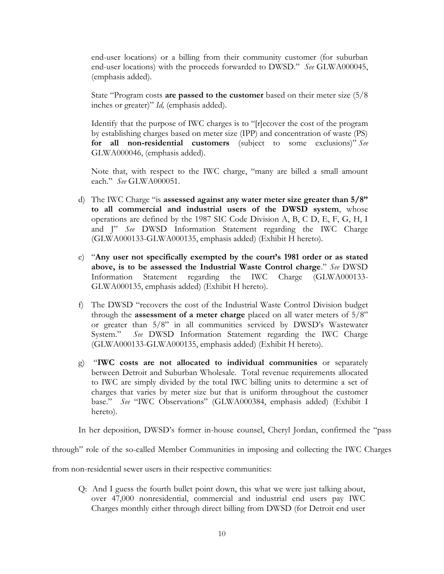end-user locations) or a billing from their community customer (for suburban end-user locations) with the proceeds forwarded to DWSD." *See* GLWA000045, (emphasis added).

State "Program costs **are passed to the customer** based on their meter size (5/8 inches or greater)" *Id,* (emphasis added).

Identify that the purpose of IWC charges is to "[r]ecover the cost of the program by establishing charges based on meter size (IPP) and concentration of waste (PS) **for all non-residential customers** (subject to some exclusions)" *See* GLWA000046, (emphasis added).

Note that, with respect to the IWC charge, "many are billed a small amount each." *See* GLWA000051.

- d) The IWC Charge "is **assessed against any water meter size greater than 5/8" to all commercial and industrial users of the DWSD system**, whose operations are defined by the 1987 SIC Code Division A, B, C D, E, F, G, H, I and J" *See* DWSD Information Statement regarding the IWC Charge (GLWA000133-GLWA000135, emphasis added) (Exhibit H hereto).
- e) "**Any user not specifically exempted by the court's 1981 order or as stated above, is to be assessed the Industrial Waste Control charge**." *See* DWSD Information Statement regarding the IWC Charge (GLWA000133- GLWA000135, emphasis added) (Exhibit H hereto).
- f) The DWSD "recovers the cost of the Industrial Waste Control Division budget through the **assessment of a meter charge** placed on all water meters of 5/8" or greater than 5/8" in all communities serviced by DWSD's Wastewater System." *See* DWSD Information Statement regarding the IWC Charge (GLWA000133-GLWA000135, emphasis added) (Exhibit H hereto).
- g) "**IWC costs are not allocated to individual communities** or separately between Detroit and Suburban Wholesale. Total revenue requirements allocated to IWC are simply divided by the total IWC billing units to determine a set of charges that varies by meter size but that is uniform throughout the customer base." *See* "IWC Observations" (GLWA000384, emphasis added) (Exhibit I hereto).

In her deposition, DWSD's former in-house counsel, Cheryl Jordan, confirmed the "pass

through" role of the so-called Member Communities in imposing and collecting the IWC Charges

from non-residential sewer users in their respective communities:

Q: And I guess the fourth bullet point down, this what we were just talking about, over 47,000 nonresidential, commercial and industrial end users pay IWC Charges monthly either through direct billing from DWSD (for Detroit end user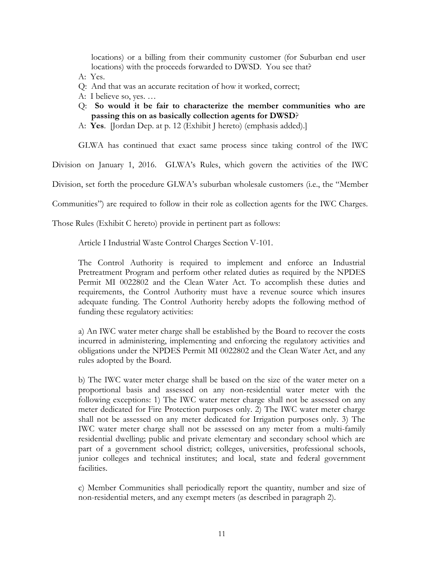locations) or a billing from their community customer (for Suburban end user locations) with the proceeds forwarded to DWSD. You see that?

- A: Yes.
- Q: And that was an accurate recitation of how it worked, correct;
- A: I believe so, yes. …
- Q: **So would it be fair to characterize the member communities who are passing this on as basically collection agents for DWSD**?
- A: **Yes**. [Jordan Dep. at p. 12 (Exhibit J hereto) (emphasis added).]

GLWA has continued that exact same process since taking control of the IWC

Division on January 1, 2016. GLWA's Rules, which govern the activities of the IWC

Division, set forth the procedure GLWA's suburban wholesale customers (i.e., the "Member

Communities") are required to follow in their role as collection agents for the IWC Charges.

Those Rules (Exhibit C hereto) provide in pertinent part as follows:

Article I Industrial Waste Control Charges Section V-101.

The Control Authority is required to implement and enforce an Industrial Pretreatment Program and perform other related duties as required by the NPDES Permit MI 0022802 and the Clean Water Act. To accomplish these duties and requirements, the Control Authority must have a revenue source which insures adequate funding. The Control Authority hereby adopts the following method of funding these regulatory activities:

a) An IWC water meter charge shall be established by the Board to recover the costs incurred in administering, implementing and enforcing the regulatory activities and obligations under the NPDES Permit MI 0022802 and the Clean Water Act, and any rules adopted by the Board.

b) The IWC water meter charge shall be based on the size of the water meter on a proportional basis and assessed on any non-residential water meter with the following exceptions: 1) The IWC water meter charge shall not be assessed on any meter dedicated for Fire Protection purposes only. 2) The IWC water meter charge shall not be assessed on any meter dedicated for Irrigation purposes only. 3) The IWC water meter charge shall not be assessed on any meter from a multi-family residential dwelling; public and private elementary and secondary school which are part of a government school district; colleges, universities, professional schools, junior colleges and technical institutes; and local, state and federal government facilities.

c) Member Communities shall periodically report the quantity, number and size of non-residential meters, and any exempt meters (as described in paragraph 2).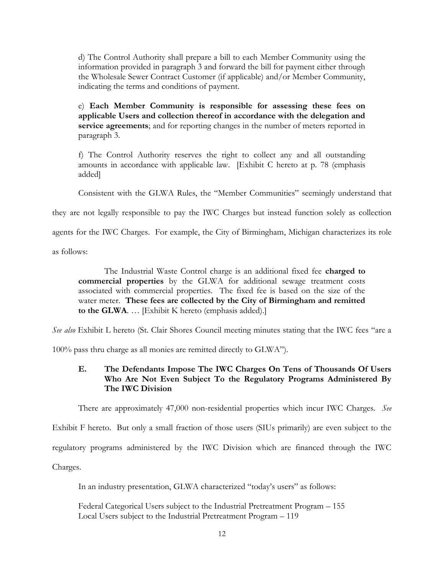d) The Control Authority shall prepare a bill to each Member Community using the information provided in paragraph 3 and forward the bill for payment either through the Wholesale Sewer Contract Customer (if applicable) and/or Member Community, indicating the terms and conditions of payment.

e) **Each Member Community is responsible for assessing these fees on applicable Users and collection thereof in accordance with the delegation and service agreements**; and for reporting changes in the number of meters reported in paragraph 3.

f) The Control Authority reserves the right to collect any and all outstanding amounts in accordance with applicable law. [Exhibit C hereto at p. 78 (emphasis added]

Consistent with the GLWA Rules, the "Member Communities" seemingly understand that

they are not legally responsible to pay the IWC Charges but instead function solely as collection

agents for the IWC Charges. For example, the City of Birmingham, Michigan characterizes its role

as follows:

The Industrial Waste Control charge is an additional fixed fee **charged to commercial properties** by the GLWA for additional sewage treatment costs associated with commercial properties. The fixed fee is based on the size of the water meter. **These fees are collected by the City of Birmingham and remitted to the GLWA**. … [Exhibit K hereto (emphasis added).]

*See also* Exhibit L hereto (St. Clair Shores Council meeting minutes stating that the IWC fees "are a

100% pass thru charge as all monies are remitted directly to GLWA").

# **E. The Defendants Impose The IWC Charges On Tens of Thousands Of Users Who Are Not Even Subject To the Regulatory Programs Administered By The IWC Division**

There are approximately 47,000 non-residential properties which incur IWC Charges. *See*

Exhibit F hereto. But only a small fraction of those users (SIUs primarily) are even subject to the

regulatory programs administered by the IWC Division which are financed through the IWC

Charges.

In an industry presentation, GLWA characterized "today's users" as follows:

Federal Categorical Users subject to the Industrial Pretreatment Program – 155 Local Users subject to the Industrial Pretreatment Program – 119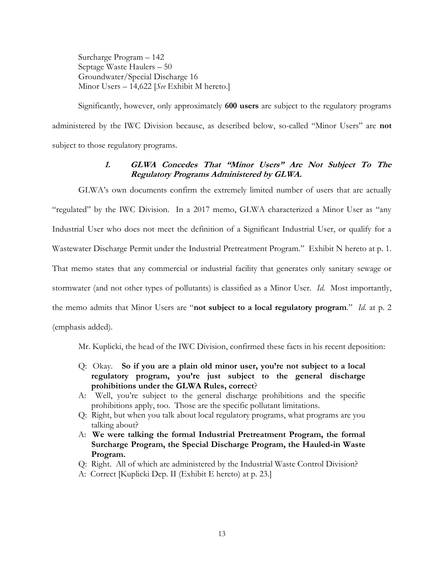Surcharge Program – 142 Septage Waste Haulers – 50 Groundwater/Special Discharge 16 Minor Users – 14,622 [*See* Exhibit M hereto.]

Significantly, however, only approximately **600 users** are subject to the regulatory programs administered by the IWC Division because, as described below, so-called "Minor Users" are **not**  subject to those regulatory programs.

# **1. GLWA Concedes That "Minor Users" Are Not Subject To The Regulatory Programs Administered by GLWA.**

GLWA's own documents confirm the extremely limited number of users that are actually "regulated" by the IWC Division. In a 2017 memo, GLWA characterized a Minor User as "any Industrial User who does not meet the definition of a Significant Industrial User, or qualify for a Wastewater Discharge Permit under the Industrial Pretreatment Program." Exhibit N hereto at p. 1. That memo states that any commercial or industrial facility that generates only sanitary sewage or stormwater (and not other types of pollutants) is classified as a Minor User. *Id*. Most importantly, the memo admits that Minor Users are "**not subject to a local regulatory program**." *Id*. at p. 2 (emphasis added).

Mr. Kuplicki, the head of the IWC Division, confirmed these facts in his recent deposition:

- Q: Okay. **So if you are a plain old minor user, you're not subject to a local regulatory program, you're just subject to the general discharge prohibitions under the GLWA Rules, correct**?
- A: Well, you're subject to the general discharge prohibitions and the specific prohibitions apply, too. Those are the specific pollutant limitations.
- Q: Right, but when you talk about local regulatory programs, what programs are you talking about?
- A: **We were talking the formal Industrial Pretreatment Program, the formal Surcharge Program, the Special Discharge Program, the Hauled-in Waste Program.**
- Q: Right. All of which are administered by the Industrial Waste Control Division?
- A: Correct [Kuplicki Dep. II (Exhibit E hereto) at p. 23.]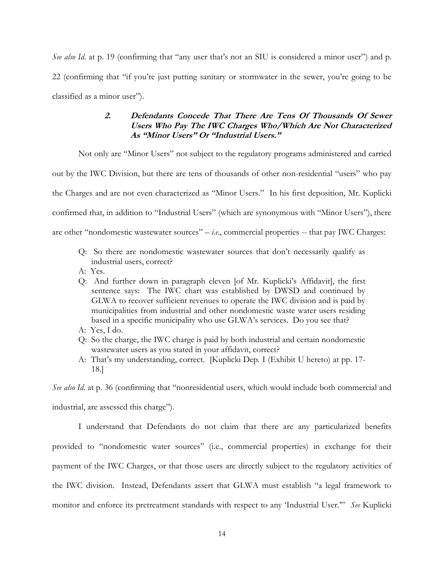*See also Id.* at p. 19 (confirming that "any user that's not an SIU is considered a minor user") and p. 22 (confirming that "if you're just putting sanitary or stormwater in the sewer, you're going to be classified as a minor user").

# **2. Defendants Concede That There Are Tens Of Thousands Of Sewer Users Who Pay The IWC Charges Who/Which Are Not Characterized As "Minor Users" Or "Industrial Users."**

Not only are "Minor Users" not subject to the regulatory programs administered and carried

out by the IWC Division, but there are tens of thousands of other non-residential "users" who pay

the Charges and are not even characterized as "Minor Users." In his first deposition, Mr. Kuplicki

confirmed that, in addition to "Industrial Users" (which are synonymous with "Minor Users"), there

are other "nondomestic wastewater sources" – *i.e*., commercial properties -- that pay IWC Charges:

- Q: So there are nondomestic wastewater sources that don't necessarily qualify as industrial users, correct?
- A: Yes.
- Q: And further down in paragraph eleven [of Mr. Kuplicki's Affidavit], the first sentence says: The IWC chart was established by DWSD and continued by GLWA to recover sufficient revenues to operate the IWC division and is paid by municipalities from industrial and other nondomestic waste water users residing based in a specific municipality who use GLWA's services. Do you see that?
- A: Yes, I do.
- Q: So the charge, the IWC charge is paid by both industrial and certain nondomestic wastewater users as you stated in your affidavit, correct?
- A: That's my understanding, correct. [Kuplicki Dep. I (Exhibit U hereto) at pp. 17- 18.]

*See also Id*. at p. 36 (confirming that "nonresidential users, which would include both commercial and

industrial, are assessed this charge").

I understand that Defendants do not claim that there are any particularized benefits provided to "nondomestic water sources" (i.e., commercial properties) in exchange for their payment of the IWC Charges, or that those users are directly subject to the regulatory activities of the IWC division. Instead, Defendants assert that GLWA must establish "a legal framework to monitor and enforce its pretreatment standards with respect to any 'Industrial User.'" *See* Kuplicki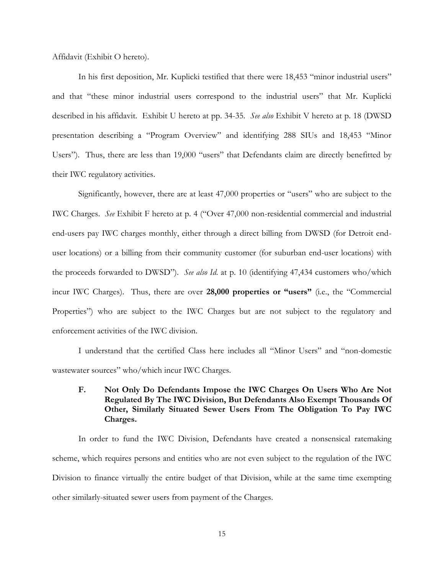Affidavit (Exhibit O hereto).

In his first deposition, Mr. Kuplicki testified that there were 18,453 "minor industrial users" and that "these minor industrial users correspond to the industrial users" that Mr. Kuplicki described in his affidavit. Exhibit U hereto at pp. 34-35. *See also* Exhibit V hereto at p. 18 (DWSD presentation describing a "Program Overview" and identifying 288 SIUs and 18,453 "Minor Users"). Thus, there are less than 19,000 "users" that Defendants claim are directly benefitted by their IWC regulatory activities.

Significantly, however, there are at least 47,000 properties or "users" who are subject to the IWC Charges. *See* Exhibit F hereto at p. 4 ("Over 47,000 non-residential commercial and industrial end-users pay IWC charges monthly, either through a direct billing from DWSD (for Detroit enduser locations) or a billing from their community customer (for suburban end-user locations) with the proceeds forwarded to DWSD"). *See also Id*. at p. 10 (identifying 47,434 customers who/which incur IWC Charges). Thus, there are over **28,000 properties or "users"** (i.e., the "Commercial Properties") who are subject to the IWC Charges but are not subject to the regulatory and enforcement activities of the IWC division.

I understand that the certified Class here includes all "Minor Users" and "non-domestic wastewater sources" who/which incur IWC Charges.

**F. Not Only Do Defendants Impose the IWC Charges On Users Who Are Not Regulated By The IWC Division, But Defendants Also Exempt Thousands Of Other, Similarly Situated Sewer Users From The Obligation To Pay IWC Charges.**

In order to fund the IWC Division, Defendants have created a nonsensical ratemaking scheme, which requires persons and entities who are not even subject to the regulation of the IWC Division to finance virtually the entire budget of that Division, while at the same time exempting other similarly-situated sewer users from payment of the Charges.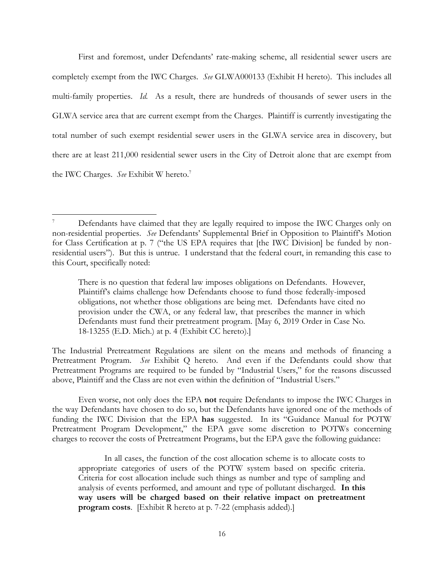First and foremost, under Defendants' rate-making scheme, all residential sewer users are completely exempt from the IWC Charges. *See* GLWA000133 (Exhibit H hereto). This includes all multi-family properties. *Id.* As a result, there are hundreds of thousands of sewer users in the GLWA service area that are current exempt from the Charges. Plaintiff is currently investigating the total number of such exempt residential sewer users in the GLWA service area in discovery, but there are at least 211,000 residential sewer users in the City of Detroit alone that are exempt from the IWC Charges. *See* Exhibit W hereto. 7

There is no question that federal law imposes obligations on Defendants. However, Plaintiff's claims challenge how Defendants choose to fund those federally-imposed obligations, not whether those obligations are being met. Defendants have cited no provision under the CWA, or any federal law, that prescribes the manner in which Defendants must fund their pretreatment program. [May 6, 2019 Order in Case No. 18-13255 (E.D. Mich.) at p. 4 (Exhibit CC hereto).]

The Industrial Pretreatment Regulations are silent on the means and methods of financing a Pretreatment Program. *See* Exhibit Q hereto. And even if the Defendants could show that Pretreatment Programs are required to be funded by "Industrial Users," for the reasons discussed above, Plaintiff and the Class are not even within the definition of "Industrial Users."

Even worse, not only does the EPA **not** require Defendants to impose the IWC Charges in the way Defendants have chosen to do so, but the Defendants have ignored one of the methods of funding the IWC Division that the EPA **has** suggested. In its "Guidance Manual for POTW Pretreatment Program Development," the EPA gave some discretion to POTWs concerning charges to recover the costs of Pretreatment Programs, but the EPA gave the following guidance:

In all cases, the function of the cost allocation scheme is to allocate costs to appropriate categories of users of the POTW system based on specific criteria. Criteria for cost allocation include such things as number and type of sampling and analysis of events performed, and amount and type of pollutant discharged. **In this way users will be charged based on their relative impact on pretreatment program costs**. [Exhibit R hereto at p. 7-22 (emphasis added).]

<sup>7</sup> Defendants have claimed that they are legally required to impose the IWC Charges only on non-residential properties. *See* Defendants' Supplemental Brief in Opposition to Plaintiff's Motion for Class Certification at p. 7 ("the US EPA requires that [the IWC Division] be funded by nonresidential users"). But this is untrue. I understand that the federal court, in remanding this case to this Court, specifically noted: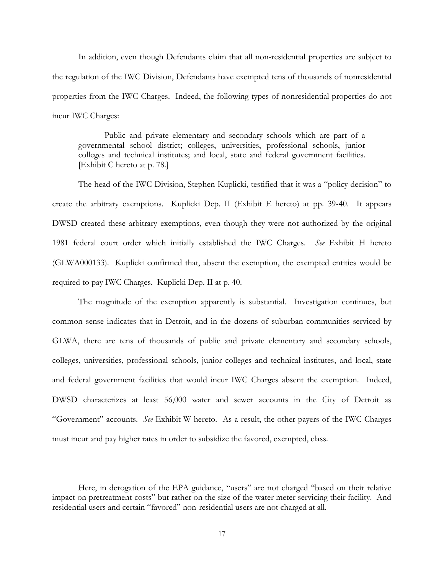In addition, even though Defendants claim that all non-residential properties are subject to the regulation of the IWC Division, Defendants have exempted tens of thousands of nonresidential properties from the IWC Charges. Indeed, the following types of nonresidential properties do not incur IWC Charges:

Public and private elementary and secondary schools which are part of a governmental school district; colleges, universities, professional schools, junior colleges and technical institutes; and local, state and federal government facilities. [Exhibit C hereto at p. 78.]

The head of the IWC Division, Stephen Kuplicki, testified that it was a "policy decision" to create the arbitrary exemptions. Kuplicki Dep. II (Exhibit E hereto) at pp. 39-40. It appears DWSD created these arbitrary exemptions, even though they were not authorized by the original 1981 federal court order which initially established the IWC Charges. *See* Exhibit H hereto (GLWA000133). Kuplicki confirmed that, absent the exemption, the exempted entities would be required to pay IWC Charges. Kuplicki Dep. II at p. 40.

The magnitude of the exemption apparently is substantial. Investigation continues, but common sense indicates that in Detroit, and in the dozens of suburban communities serviced by GLWA, there are tens of thousands of public and private elementary and secondary schools, colleges, universities, professional schools, junior colleges and technical institutes, and local, state and federal government facilities that would incur IWC Charges absent the exemption. Indeed, DWSD characterizes at least 56,000 water and sewer accounts in the City of Detroit as "Government" accounts. *See* Exhibit W hereto. As a result, the other payers of the IWC Charges must incur and pay higher rates in order to subsidize the favored, exempted, class.

Here, in derogation of the EPA guidance, "users" are not charged "based on their relative impact on pretreatment costs" but rather on the size of the water meter servicing their facility. And residential users and certain "favored" non-residential users are not charged at all.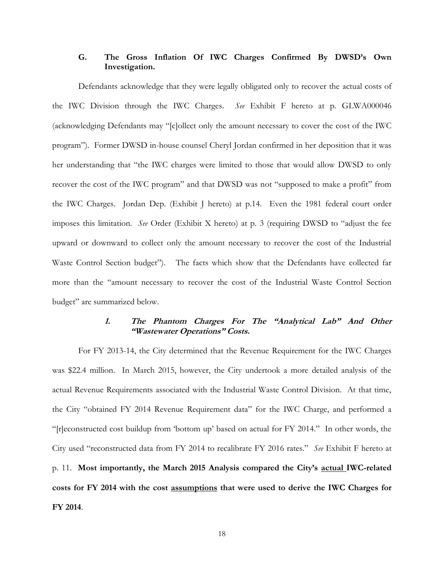# **G. The Gross Inflation Of IWC Charges Confirmed By DWSD's Own Investigation.**

Defendants acknowledge that they were legally obligated only to recover the actual costs of the IWC Division through the IWC Charges. *See* Exhibit F hereto at p. GLWA000046 (acknowledging Defendants may "[c]ollect only the amount necessary to cover the cost of the IWC program"). Former DWSD in-house counsel Cheryl Jordan confirmed in her deposition that it was her understanding that "the IWC charges were limited to those that would allow DWSD to only recover the cost of the IWC program" and that DWSD was not "supposed to make a profit" from the IWC Charges. Jordan Dep. (Exhibit J hereto) at p.14. Even the 1981 federal court order imposes this limitation. *See* Order (Exhibit X hereto) at p. 3 (requiring DWSD to "adjust the fee upward or downward to collect only the amount necessary to recover the cost of the Industrial Waste Control Section budget"). The facts which show that the Defendants have collected far more than the "amount necessary to recover the cost of the Industrial Waste Control Section budget" are summarized below.

## **1. The Phantom Charges For The "Analytical Lab" And Other "Wastewater Operations" Costs.**

For FY 2013-14, the City determined that the Revenue Requirement for the IWC Charges was \$22.4 million. In March 2015, however, the City undertook a more detailed analysis of the actual Revenue Requirements associated with the Industrial Waste Control Division. At that time, the City "obtained FY 2014 Revenue Requirement data" for the IWC Charge, and performed a "[r]econstructed cost buildup from 'bottom up' based on actual for FY 2014." In other words, the City used "reconstructed data from FY 2014 to recalibrate FY 2016 rates." *See* Exhibit F hereto at p. 11. **Most importantly, the March 2015 Analysis compared the City's actual IWC-related costs for FY 2014 with the cost assumptions that were used to derive the IWC Charges for FY 2014**.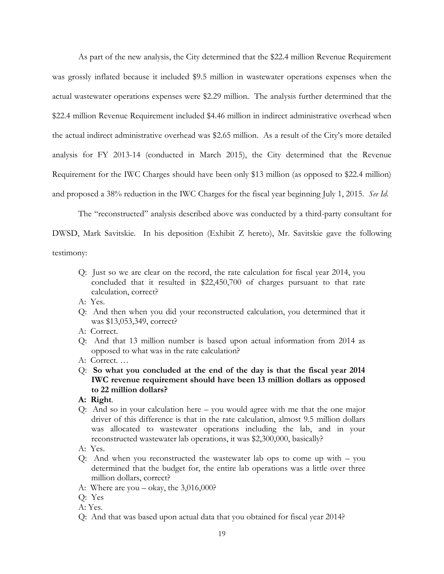As part of the new analysis, the City determined that the \$22.4 million Revenue Requirement was grossly inflated because it included \$9.5 million in wastewater operations expenses when the actual wastewater operations expenses were \$2.29 million. The analysis further determined that the \$22.4 million Revenue Requirement included \$4.46 million in indirect administrative overhead when the actual indirect administrative overhead was \$2.65 million. As a result of the City's more detailed analysis for FY 2013-14 (conducted in March 2015), the City determined that the Revenue Requirement for the IWC Charges should have been only \$13 million (as opposed to \$22.4 million) and proposed a 38% reduction in the IWC Charges for the fiscal year beginning July 1, 2015. *See Id*.

The "reconstructed" analysis described above was conducted by a third-party consultant for DWSD, Mark Savitskie. In his deposition (Exhibit Z hereto), Mr. Savitskie gave the following

testimony:

- Q: Just so we are clear on the record, the rate calculation for fiscal year 2014, you concluded that it resulted in \$22,450,700 of charges pursuant to that rate calculation, correct?
- A: Yes.
- Q: And then when you did your reconstructed calculation, you determined that it was \$13,053,349, correct?
- A: Correct.
- Q: And that 13 million number is based upon actual information from 2014 as opposed to what was in the rate calculation?
- A: Correct. …
- Q: **So what you concluded at the end of the day is that the fiscal year 2014 IWC revenue requirement should have been 13 million dollars as opposed to 22 million dollars?**
- **A: Right**.
- Q: And so in your calculation here you would agree with me that the one major driver of this difference is that in the rate calculation, almost 9.5 million dollars was allocated to wastewater operations including the lab, and in your reconstructed wastewater lab operations, it was \$2,300,000, basically?
- A: Yes.
- Q: And when you reconstructed the wastewater lab ops to come up with you determined that the budget for, the entire lab operations was a little over three million dollars, correct?
- A: Where are you  $-\text{ okay}$ , the 3,016,000?
- Q: Yes
- A: Yes.
- Q: And that was based upon actual data that you obtained for fiscal year 2014?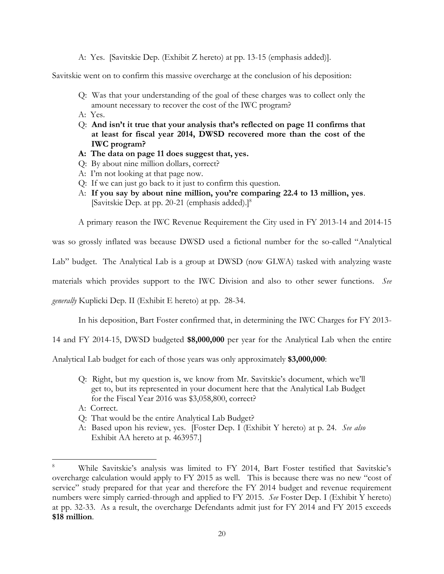A: Yes. [Savitskie Dep. (Exhibit Z hereto) at pp. 13-15 (emphasis added)].

Savitskie went on to confirm this massive overcharge at the conclusion of his deposition:

- Q: Was that your understanding of the goal of these charges was to collect only the amount necessary to recover the cost of the IWC program?
- A: Yes.
- Q: **And isn't it true that your analysis that's reflected on page 11 confirms that at least for fiscal year 2014, DWSD recovered more than the cost of the IWC program?**
- **A: The data on page 11 does suggest that, yes.**
- Q: By about nine million dollars, correct?
- A: I'm not looking at that page now.
- Q: If we can just go back to it just to confirm this question.
- A: **If you say by about nine million, you're comparing 22.4 to 13 million, yes**. [Savitskie Dep. at pp. 20-21 (emphasis added).] 8

A primary reason the IWC Revenue Requirement the City used in FY 2013-14 and 2014-15

was so grossly inflated was because DWSD used a fictional number for the so-called "Analytical

Lab" budget. The Analytical Lab is a group at DWSD (now GLWA) tasked with analyzing waste

materials which provides support to the IWC Division and also to other sewer functions. *See* 

*generally* Kuplicki Dep. II (Exhibit E hereto) at pp. 28-34.

In his deposition, Bart Foster confirmed that, in determining the IWC Charges for FY 2013-

14 and FY 2014-15, DWSD budgeted **\$8,000,000** per year for the Analytical Lab when the entire

Analytical Lab budget for each of those years was only approximately **\$3,000,000**:

- Q: Right, but my question is, we know from Mr. Savitskie's document, which we'll get to, but its represented in your document here that the Analytical Lab Budget for the Fiscal Year 2016 was \$3,058,800, correct?
- A: Correct.
- Q: That would be the entire Analytical Lab Budget?
- A: Based upon his review, yes. [Foster Dep. I (Exhibit Y hereto) at p. 24. *See also* Exhibit AA hereto at p. 463957.]

<sup>8</sup> While Savitskie's analysis was limited to FY 2014, Bart Foster testified that Savitskie's overcharge calculation would apply to FY 2015 as well. This is because there was no new "cost of service" study prepared for that year and therefore the FY 2014 budget and revenue requirement numbers were simply carried-through and applied to FY 2015. *See* Foster Dep. I (Exhibit Y hereto) at pp. 32-33. As a result, the overcharge Defendants admit just for FY 2014 and FY 2015 exceeds **\$18 million**.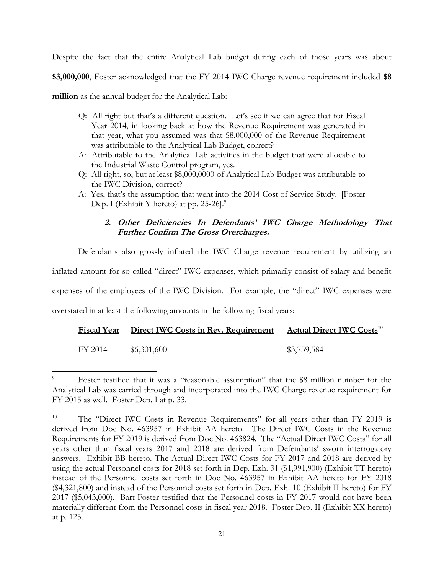Despite the fact that the entire Analytical Lab budget during each of those years was about **\$3,000,000**, Foster acknowledged that the FY 2014 IWC Charge revenue requirement included **\$8** 

**million** as the annual budget for the Analytical Lab:

- Q: All right but that's a different question. Let's see if we can agree that for Fiscal Year 2014, in looking back at how the Revenue Requirement was generated in that year, what you assumed was that \$8,000,000 of the Revenue Requirement was attributable to the Analytical Lab Budget, correct?
- A: Attributable to the Analytical Lab activities in the budget that were allocable to the Industrial Waste Control program, yes.
- Q: All right, so, but at least \$8,000,0000 of Analytical Lab Budget was attributable to the IWC Division, correct?
- A: Yes, that's the assumption that went into the 2014 Cost of Service Study. [Foster Dep. I (Exhibit Y hereto) at pp. 25-26].<sup>9</sup>

# **2. Other Deficiencies In Defendants' IWC Charge Methodology That Further Confirm The Gross Overcharges.**

Defendants also grossly inflated the IWC Charge revenue requirement by utilizing an inflated amount for so-called "direct" IWC expenses, which primarily consist of salary and benefit expenses of the employees of the IWC Division. For example, the "direct" IWC expenses were overstated in at least the following amounts in the following fiscal years:

|         | Fiscal Year Direct IWC Costs in Rev. Requirement | <b>Actual Direct IWC Costs</b> <sup>10</sup> |
|---------|--------------------------------------------------|----------------------------------------------|
| FY 2014 | \$6,301,600                                      | \$3,759,584                                  |

Foster testified that it was a "reasonable assumption" that the \$8 million number for the Analytical Lab was carried through and incorporated into the IWC Charge revenue requirement for FY 2015 as well. Foster Dep. I at p. 33.

<sup>&</sup>lt;sup>10</sup> The "Direct IWC Costs in Revenue Requirements" for all years other than FY 2019 is derived from Doc No. 463957 in Exhibit AA hereto. The Direct IWC Costs in the Revenue Requirements for FY 2019 is derived from Doc No. 463824. The "Actual Direct IWC Costs" for all years other than fiscal years 2017 and 2018 are derived from Defendants' sworn interrogatory answers. Exhibit BB hereto. The Actual Direct IWC Costs for FY 2017 and 2018 are derived by using the actual Personnel costs for 2018 set forth in Dep. Exh. 31 (\$1,991,900) (Exhibit TT hereto) instead of the Personnel costs set forth in Doc No. 463957 in Exhibit AA hereto for FY 2018 (\$4,321,800) and instead of the Personnel costs set forth in Dep. Exh. 10 (Exhibit II hereto) for FY 2017 (\$5,043,000). Bart Foster testified that the Personnel costs in FY 2017 would not have been materially different from the Personnel costs in fiscal year 2018. Foster Dep. II (Exhibit XX hereto) at p. 125.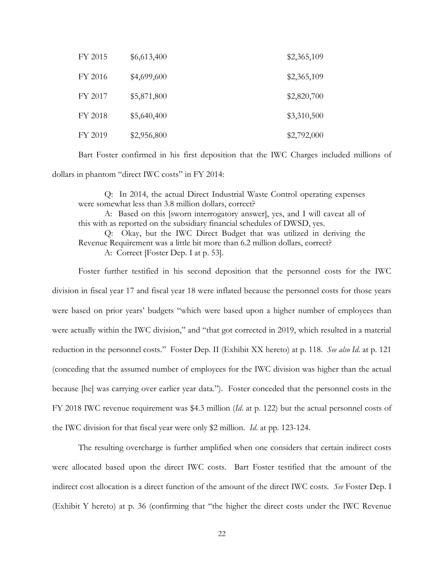| FY 2015 | \$6,613,400 | \$2,365,109 |
|---------|-------------|-------------|
| FY 2016 | \$4,699,600 | \$2,365,109 |
| FY 2017 | \$5,871,800 | \$2,820,700 |
| FY 2018 | \$5,640,400 | \$3,310,500 |
| FY 2019 | \$2,956,800 | \$2,792,000 |

Bart Foster confirmed in his first deposition that the IWC Charges included millions of dollars in phantom "direct IWC costs" in FY 2014:

Q: In 2014, the actual Direct Industrial Waste Control operating expenses were somewhat less than 3.8 million dollars, correct?

A: Based on this [sworn interrogatory answer], yes, and I will caveat all of this with as reported on the subsidiary financial schedules of DWSD, yes.

Q: Okay, but the IWC Direct Budget that was utilized in deriving the Revenue Requirement was a little bit more than 6.2 million dollars, correct?

A: Correct [Foster Dep. I at p. 53].

Foster further testified in his second deposition that the personnel costs for the IWC division in fiscal year 17 and fiscal year 18 were inflated because the personnel costs for those years were based on prior years' budgets "which were based upon a higher number of employees than were actually within the IWC division," and "that got corrected in 2019, which resulted in a material reduction in the personnel costs." Foster Dep. II (Exhibit XX hereto) at p. 118. *See also Id*. at p. 121 (conceding that the assumed number of employees for the IWC division was higher than the actual because [he] was carrying over earlier year data."). Foster conceded that the personnel costs in the FY 2018 IWC revenue requirement was \$4.3 million (*Id*. at p. 122) but the actual personnel costs of the IWC division for that fiscal year were only \$2 million. *Id*. at pp. 123-124.

The resulting overcharge is further amplified when one considers that certain indirect costs were allocated based upon the direct IWC costs. Bart Foster testified that the amount of the indirect cost allocation is a direct function of the amount of the direct IWC costs. *See* Foster Dep. I (Exhibit Y hereto) at p. 36 (confirming that "the higher the direct costs under the IWC Revenue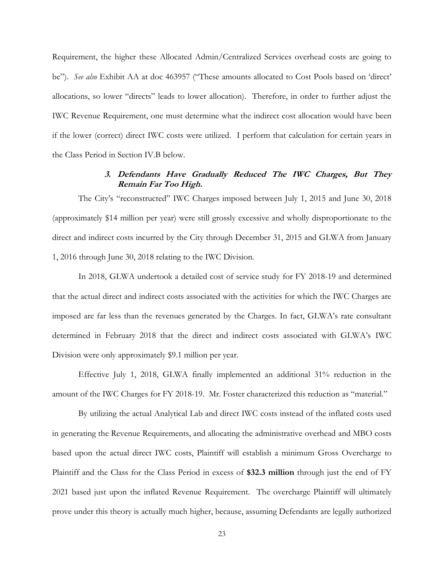Requirement, the higher these Allocated Admin/Centralized Services overhead costs are going to be"). *See also* Exhibit AA at doc 463957 ("These amounts allocated to Cost Pools based on 'direct' allocations, so lower "directs" leads to lower allocation). Therefore, in order to further adjust the IWC Revenue Requirement, one must determine what the indirect cost allocation would have been if the lower (correct) direct IWC costs were utilized. I perform that calculation for certain years in the Class Period in Section IV.B below.

## **3. Defendants Have Gradually Reduced The IWC Charges, But They Remain Far Too High.**

The City's "reconstructed" IWC Charges imposed between July 1, 2015 and June 30, 2018 (approximately \$14 million per year) were still grossly excessive and wholly disproportionate to the direct and indirect costs incurred by the City through December 31, 2015 and GLWA from January 1, 2016 through June 30, 2018 relating to the IWC Division.

In 2018, GLWA undertook a detailed cost of service study for FY 2018-19 and determined that the actual direct and indirect costs associated with the activities for which the IWC Charges are imposed are far less than the revenues generated by the Charges. In fact, GLWA's rate consultant determined in February 2018 that the direct and indirect costs associated with GLWA's IWC Division were only approximately \$9.1 million per year.

Effective July 1, 2018, GLWA finally implemented an additional 31% reduction in the amount of the IWC Charges for FY 2018-19. Mr. Foster characterized this reduction as "material."

By utilizing the actual Analytical Lab and direct IWC costs instead of the inflated costs used in generating the Revenue Requirements, and allocating the administrative overhead and MBO costs based upon the actual direct IWC costs, Plaintiff will establish a minimum Gross Overcharge to Plaintiff and the Class for the Class Period in excess of **\$32.3 million** through just the end of FY 2021 based just upon the inflated Revenue Requirement. The overcharge Plaintiff will ultimately prove under this theory is actually much higher, because, assuming Defendants are legally authorized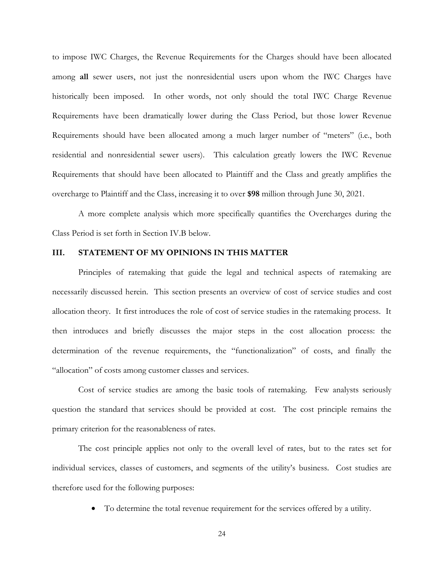to impose IWC Charges, the Revenue Requirements for the Charges should have been allocated among **all** sewer users, not just the nonresidential users upon whom the IWC Charges have historically been imposed. In other words, not only should the total IWC Charge Revenue Requirements have been dramatically lower during the Class Period, but those lower Revenue Requirements should have been allocated among a much larger number of "meters" (i.e., both residential and nonresidential sewer users). This calculation greatly lowers the IWC Revenue Requirements that should have been allocated to Plaintiff and the Class and greatly amplifies the overcharge to Plaintiff and the Class, increasing it to over **\$98** million through June 30, 2021.

A more complete analysis which more specifically quantifies the Overcharges during the Class Period is set forth in Section IV.B below.

#### **III. STATEMENT OF MY OPINIONS IN THIS MATTER**

Principles of ratemaking that guide the legal and technical aspects of ratemaking are necessarily discussed herein. This section presents an overview of cost of service studies and cost allocation theory. It first introduces the role of cost of service studies in the ratemaking process. It then introduces and briefly discusses the major steps in the cost allocation process: the determination of the revenue requirements, the "functionalization" of costs, and finally the "allocation" of costs among customer classes and services.

Cost of service studies are among the basic tools of ratemaking. Few analysts seriously question the standard that services should be provided at cost. The cost principle remains the primary criterion for the reasonableness of rates.

The cost principle applies not only to the overall level of rates, but to the rates set for individual services, classes of customers, and segments of the utility's business. Cost studies are therefore used for the following purposes:

• To determine the total revenue requirement for the services offered by a utility.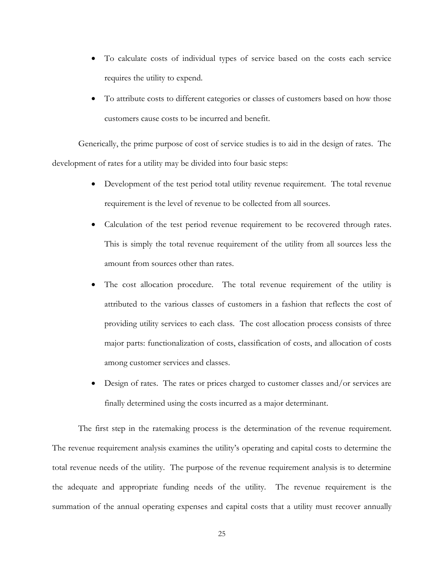- To calculate costs of individual types of service based on the costs each service requires the utility to expend.
- To attribute costs to different categories or classes of customers based on how those customers cause costs to be incurred and benefit.

Generically, the prime purpose of cost of service studies is to aid in the design of rates. The development of rates for a utility may be divided into four basic steps:

- Development of the test period total utility revenue requirement. The total revenue requirement is the level of revenue to be collected from all sources.
- Calculation of the test period revenue requirement to be recovered through rates. This is simply the total revenue requirement of the utility from all sources less the amount from sources other than rates.
- The cost allocation procedure. The total revenue requirement of the utility is attributed to the various classes of customers in a fashion that reflects the cost of providing utility services to each class. The cost allocation process consists of three major parts: functionalization of costs, classification of costs, and allocation of costs among customer services and classes.
- Design of rates. The rates or prices charged to customer classes and/or services are finally determined using the costs incurred as a major determinant.

The first step in the ratemaking process is the determination of the revenue requirement. The revenue requirement analysis examines the utility's operating and capital costs to determine the total revenue needs of the utility. The purpose of the revenue requirement analysis is to determine the adequate and appropriate funding needs of the utility. The revenue requirement is the summation of the annual operating expenses and capital costs that a utility must recover annually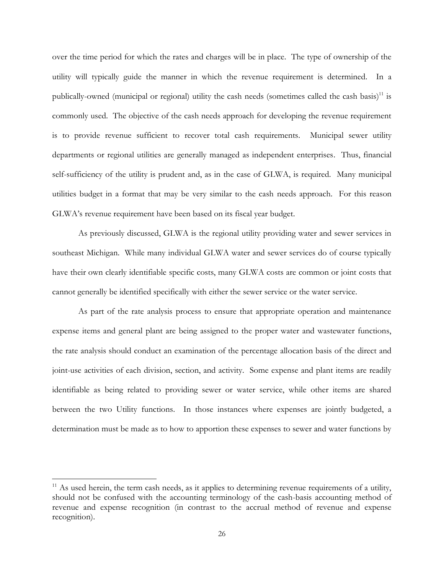over the time period for which the rates and charges will be in place. The type of ownership of the utility will typically guide the manner in which the revenue requirement is determined. In a publically-owned (municipal or regional) utility the cash needs (sometimes called the cash basis)<sup>11</sup> is commonly used. The objective of the cash needs approach for developing the revenue requirement is to provide revenue sufficient to recover total cash requirements. Municipal sewer utility departments or regional utilities are generally managed as independent enterprises. Thus, financial self-sufficiency of the utility is prudent and, as in the case of GLWA, is required. Many municipal utilities budget in a format that may be very similar to the cash needs approach. For this reason GLWA's revenue requirement have been based on its fiscal year budget.

As previously discussed, GLWA is the regional utility providing water and sewer services in southeast Michigan. While many individual GLWA water and sewer services do of course typically have their own clearly identifiable specific costs, many GLWA costs are common or joint costs that cannot generally be identified specifically with either the sewer service or the water service.

As part of the rate analysis process to ensure that appropriate operation and maintenance expense items and general plant are being assigned to the proper water and wastewater functions, the rate analysis should conduct an examination of the percentage allocation basis of the direct and joint-use activities of each division, section, and activity. Some expense and plant items are readily identifiable as being related to providing sewer or water service, while other items are shared between the two Utility functions. In those instances where expenses are jointly budgeted, a determination must be made as to how to apportion these expenses to sewer and water functions by

 $11$  As used herein, the term cash needs, as it applies to determining revenue requirements of a utility, should not be confused with the accounting terminology of the cash-basis accounting method of revenue and expense recognition (in contrast to the accrual method of revenue and expense recognition).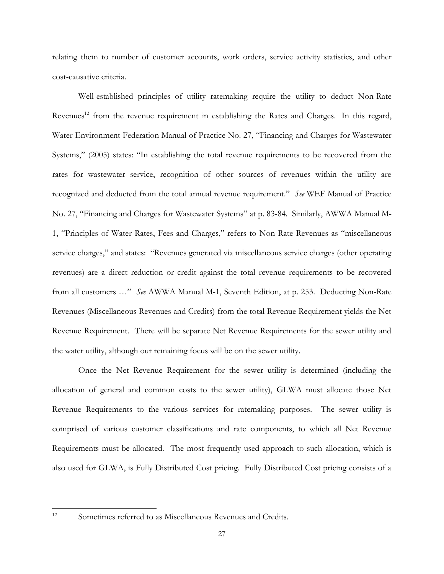relating them to number of customer accounts, work orders, service activity statistics, and other cost-causative criteria.

Well-established principles of utility ratemaking require the utility to deduct Non-Rate Revenues<sup>12</sup> from the revenue requirement in establishing the Rates and Charges. In this regard, Water Environment Federation Manual of Practice No. 27, "Financing and Charges for Wastewater Systems," (2005) states: "In establishing the total revenue requirements to be recovered from the rates for wastewater service, recognition of other sources of revenues within the utility are recognized and deducted from the total annual revenue requirement." *See* WEF Manual of Practice No. 27, "Financing and Charges for Wastewater Systems" at p. 83-84. Similarly, AWWA Manual M-1, "Principles of Water Rates, Fees and Charges," refers to Non-Rate Revenues as "miscellaneous service charges," and states: "Revenues generated via miscellaneous service charges (other operating revenues) are a direct reduction or credit against the total revenue requirements to be recovered from all customers …" *See* AWWA Manual M-1, Seventh Edition, at p. 253. Deducting Non-Rate Revenues (Miscellaneous Revenues and Credits) from the total Revenue Requirement yields the Net Revenue Requirement. There will be separate Net Revenue Requirements for the sewer utility and the water utility, although our remaining focus will be on the sewer utility.

Once the Net Revenue Requirement for the sewer utility is determined (including the allocation of general and common costs to the sewer utility), GLWA must allocate those Net Revenue Requirements to the various services for ratemaking purposes. The sewer utility is comprised of various customer classifications and rate components, to which all Net Revenue Requirements must be allocated. The most frequently used approach to such allocation, which is also used for GLWA, is Fully Distributed Cost pricing. Fully Distributed Cost pricing consists of a

<sup>&</sup>lt;sup>12</sup> Sometimes referred to as Miscellaneous Revenues and Credits.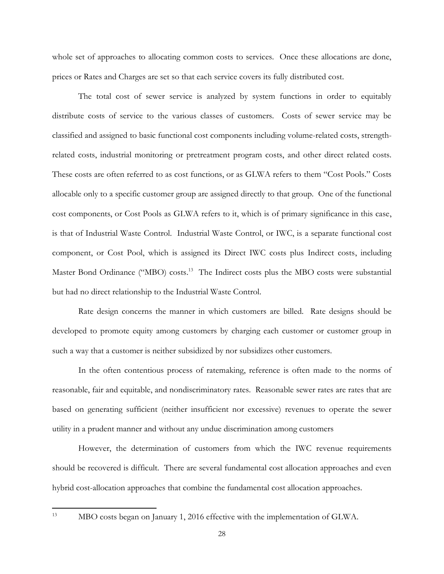whole set of approaches to allocating common costs to services. Once these allocations are done, prices or Rates and Charges are set so that each service covers its fully distributed cost.

The total cost of sewer service is analyzed by system functions in order to equitably distribute costs of service to the various classes of customers. Costs of sewer service may be classified and assigned to basic functional cost components including volume-related costs, strengthrelated costs, industrial monitoring or pretreatment program costs, and other direct related costs. These costs are often referred to as cost functions, or as GLWA refers to them "Cost Pools." Costs allocable only to a specific customer group are assigned directly to that group. One of the functional cost components, or Cost Pools as GLWA refers to it, which is of primary significance in this case, is that of Industrial Waste Control. Industrial Waste Control, or IWC, is a separate functional cost component, or Cost Pool, which is assigned its Direct IWC costs plus Indirect costs, including Master Bond Ordinance ("MBO) costs.<sup>13</sup> The Indirect costs plus the MBO costs were substantial but had no direct relationship to the Industrial Waste Control.

Rate design concerns the manner in which customers are billed. Rate designs should be developed to promote equity among customers by charging each customer or customer group in such a way that a customer is neither subsidized by nor subsidizes other customers.

In the often contentious process of ratemaking, reference is often made to the norms of reasonable, fair and equitable, and nondiscriminatory rates. Reasonable sewer rates are rates that are based on generating sufficient (neither insufficient nor excessive) revenues to operate the sewer utility in a prudent manner and without any undue discrimination among customers

However, the determination of customers from which the IWC revenue requirements should be recovered is difficult. There are several fundamental cost allocation approaches and even hybrid cost-allocation approaches that combine the fundamental cost allocation approaches.

<sup>&</sup>lt;sup>13</sup> MBO costs began on January 1, 2016 effective with the implementation of GLWA.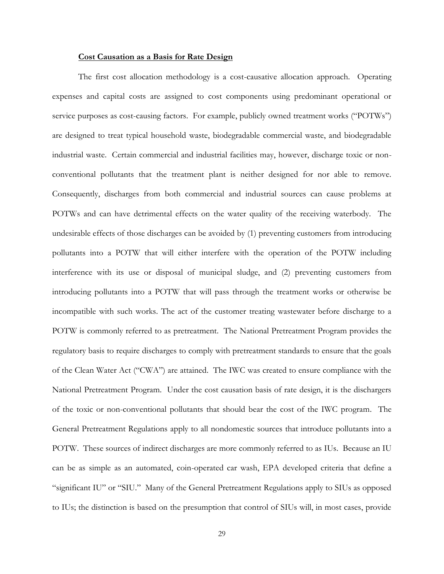#### **Cost Causation as a Basis for Rate Design**

The first cost allocation methodology is a cost-causative allocation approach. Operating expenses and capital costs are assigned to cost components using predominant operational or service purposes as cost-causing factors. For example, publicly owned treatment works ("POTWs") are designed to treat typical household waste, biodegradable commercial waste, and biodegradable industrial waste. Certain commercial and industrial facilities may, however, discharge toxic or nonconventional pollutants that the treatment plant is neither designed for nor able to remove. Consequently, discharges from both commercial and industrial sources can cause problems at POTWs and can have detrimental effects on the water quality of the receiving waterbody. The undesirable effects of those discharges can be avoided by (1) preventing customers from introducing pollutants into a POTW that will either interfere with the operation of the POTW including interference with its use or disposal of municipal sludge, and (2) preventing customers from introducing pollutants into a POTW that will pass through the treatment works or otherwise be incompatible with such works. The act of the customer treating wastewater before discharge to a POTW is commonly referred to as pretreatment. The National Pretreatment Program provides the regulatory basis to require discharges to comply with pretreatment standards to ensure that the goals of the Clean Water Act ("CWA") are attained. The IWC was created to ensure compliance with the National Pretreatment Program. Under the cost causation basis of rate design, it is the dischargers of the toxic or non-conventional pollutants that should bear the cost of the IWC program. The General Pretreatment Regulations apply to all nondomestic sources that introduce pollutants into a POTW. These sources of indirect discharges are more commonly referred to as IUs. Because an IU can be as simple as an automated, coin-operated car wash, EPA developed criteria that define a "significant IU" or "SIU." Many of the General Pretreatment Regulations apply to SIUs as opposed to IUs; the distinction is based on the presumption that control of SIUs will, in most cases, provide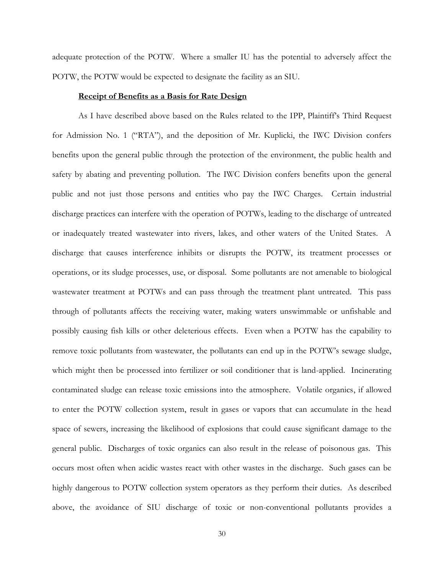adequate protection of the POTW. Where a smaller IU has the potential to adversely affect the POTW, the POTW would be expected to designate the facility as an SIU.

#### **Receipt of Benefits as a Basis for Rate Design**

As I have described above based on the Rules related to the IPP, Plaintiff's Third Request for Admission No. 1 ("RTA"), and the deposition of Mr. Kuplicki, the IWC Division confers benefits upon the general public through the protection of the environment, the public health and safety by abating and preventing pollution. The IWC Division confers benefits upon the general public and not just those persons and entities who pay the IWC Charges. Certain industrial discharge practices can interfere with the operation of POTWs, leading to the discharge of untreated or inadequately treated wastewater into rivers, lakes, and other waters of the United States. A discharge that causes interference inhibits or disrupts the POTW, its treatment processes or operations, or its sludge processes, use, or disposal. Some pollutants are not amenable to biological wastewater treatment at POTWs and can pass through the treatment plant untreated. This pass through of pollutants affects the receiving water, making waters unswimmable or unfishable and possibly causing fish kills or other deleterious effects. Even when a POTW has the capability to remove toxic pollutants from wastewater, the pollutants can end up in the POTW's sewage sludge, which might then be processed into fertilizer or soil conditioner that is land-applied. Incinerating contaminated sludge can release toxic emissions into the atmosphere. Volatile organics, if allowed to enter the POTW collection system, result in gases or vapors that can accumulate in the head space of sewers, increasing the likelihood of explosions that could cause significant damage to the general public. Discharges of toxic organics can also result in the release of poisonous gas. This occurs most often when acidic wastes react with other wastes in the discharge. Such gases can be highly dangerous to POTW collection system operators as they perform their duties. As described above, the avoidance of SIU discharge of toxic or non-conventional pollutants provides a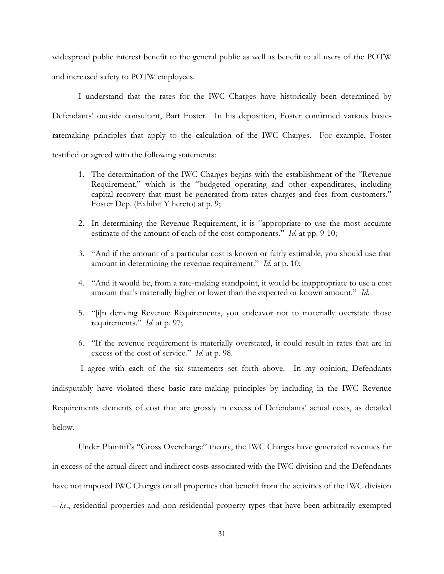widespread public interest benefit to the general public as well as benefit to all users of the POTW and increased safety to POTW employees.

I understand that the rates for the IWC Charges have historically been determined by Defendants' outside consultant, Bart Foster. In his deposition, Foster confirmed various basicratemaking principles that apply to the calculation of the IWC Charges. For example, Foster testified or agreed with the following statements:

- 1. The determination of the IWC Charges begins with the establishment of the "Revenue Requirement," which is the "budgeted operating and other expenditures, including capital recovery that must be generated from rates charges and fees from customers." Foster Dep. (Exhibit Y hereto) at p. 9;
- 2. In determining the Revenue Requirement, it is "appropriate to use the most accurate estimate of the amount of each of the cost components." *Id.* at pp. 9-10;
- 3. "And if the amount of a particular cost is known or fairly estimable, you should use that amount in determining the revenue requirement." *Id.* at p. 10;
- 4. "And it would be, from a rate-making standpoint, it would be inappropriate to use a cost amount that's materially higher or lower than the expected or known amount." *Id*.
- 5. "[i]n deriving Revenue Requirements, you endeavor not to materially overstate those requirements." *Id*. at p. 97;
- 6. "If the revenue requirement is materially overstated, it could result in rates that are in excess of the cost of service." *Id.* at p. 98.

I agree with each of the six statements set forth above. In my opinion, Defendants indisputably have violated these basic rate-making principles by including in the IWC Revenue Requirements elements of cost that are grossly in excess of Defendants' actual costs, as detailed below.

Under Plaintiff's "Gross Overcharge" theory, the IWC Charges have generated revenues far in excess of the actual direct and indirect costs associated with the IWC division and the Defendants have not imposed IWC Charges on all properties that benefit from the activities of the IWC division – *i.e*., residential properties and non-residential property types that have been arbitrarily exempted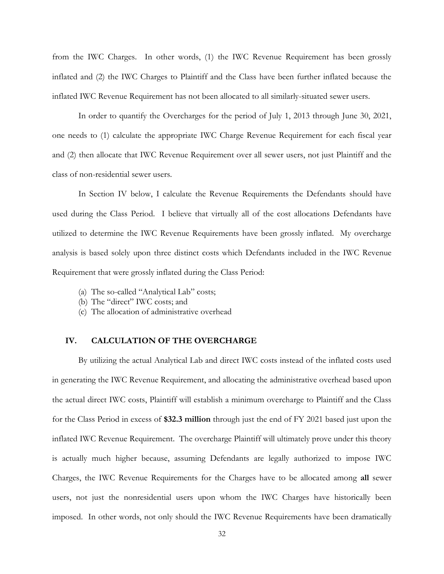from the IWC Charges. In other words, (1) the IWC Revenue Requirement has been grossly inflated and (2) the IWC Charges to Plaintiff and the Class have been further inflated because the inflated IWC Revenue Requirement has not been allocated to all similarly-situated sewer users.

In order to quantify the Overcharges for the period of July 1, 2013 through June 30, 2021, one needs to (1) calculate the appropriate IWC Charge Revenue Requirement for each fiscal year and (2) then allocate that IWC Revenue Requirement over all sewer users, not just Plaintiff and the class of non-residential sewer users.

In Section IV below, I calculate the Revenue Requirements the Defendants should have used during the Class Period. I believe that virtually all of the cost allocations Defendants have utilized to determine the IWC Revenue Requirements have been grossly inflated. My overcharge analysis is based solely upon three distinct costs which Defendants included in the IWC Revenue Requirement that were grossly inflated during the Class Period:

- (a) The so-called "Analytical Lab" costs;
- (b) The "direct" IWC costs; and
- (c) The allocation of administrative overhead

### **IV. CALCULATION OF THE OVERCHARGE**

By utilizing the actual Analytical Lab and direct IWC costs instead of the inflated costs used in generating the IWC Revenue Requirement, and allocating the administrative overhead based upon the actual direct IWC costs, Plaintiff will establish a minimum overcharge to Plaintiff and the Class for the Class Period in excess of **\$32.3 million** through just the end of FY 2021 based just upon the inflated IWC Revenue Requirement. The overcharge Plaintiff will ultimately prove under this theory is actually much higher because, assuming Defendants are legally authorized to impose IWC Charges, the IWC Revenue Requirements for the Charges have to be allocated among **all** sewer users, not just the nonresidential users upon whom the IWC Charges have historically been imposed. In other words, not only should the IWC Revenue Requirements have been dramatically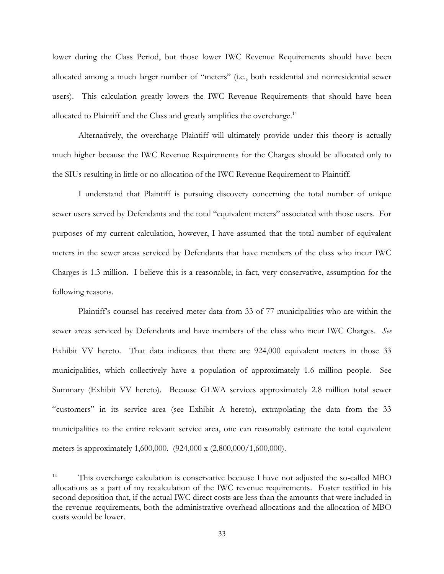lower during the Class Period, but those lower IWC Revenue Requirements should have been allocated among a much larger number of "meters" (i.e., both residential and nonresidential sewer users). This calculation greatly lowers the IWC Revenue Requirements that should have been allocated to Plaintiff and the Class and greatly amplifies the overcharge. $^{14}$ 

Alternatively, the overcharge Plaintiff will ultimately provide under this theory is actually much higher because the IWC Revenue Requirements for the Charges should be allocated only to the SIUs resulting in little or no allocation of the IWC Revenue Requirement to Plaintiff.

I understand that Plaintiff is pursuing discovery concerning the total number of unique sewer users served by Defendants and the total "equivalent meters" associated with those users. For purposes of my current calculation, however, I have assumed that the total number of equivalent meters in the sewer areas serviced by Defendants that have members of the class who incur IWC Charges is 1.3 million. I believe this is a reasonable, in fact, very conservative, assumption for the following reasons.

Plaintiff's counsel has received meter data from 33 of 77 municipalities who are within the sewer areas serviced by Defendants and have members of the class who incur IWC Charges. *See* Exhibit VV hereto. That data indicates that there are 924,000 equivalent meters in those 33 municipalities, which collectively have a population of approximately 1.6 million people. See Summary (Exhibit VV hereto). Because GLWA services approximately 2.8 million total sewer "customers" in its service area (see Exhibit A hereto), extrapolating the data from the 33 municipalities to the entire relevant service area, one can reasonably estimate the total equivalent meters is approximately 1,600,000. (924,000 x (2,800,000/1,600,000).

<sup>&</sup>lt;sup>14</sup> This overcharge calculation is conservative because I have not adjusted the so-called MBO allocations as a part of my recalculation of the IWC revenue requirements. Foster testified in his second deposition that, if the actual IWC direct costs are less than the amounts that were included in the revenue requirements, both the administrative overhead allocations and the allocation of MBO costs would be lower.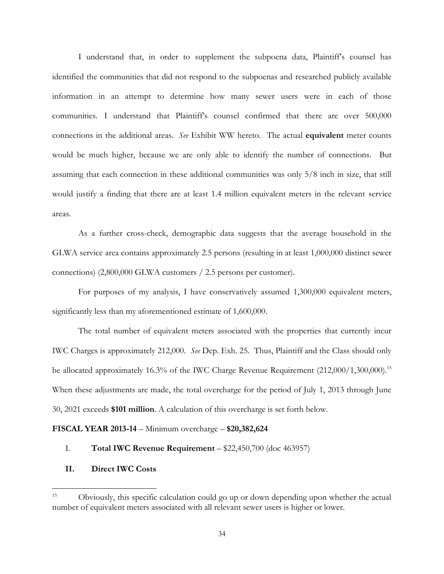I understand that, in order to supplement the subpoena data, Plaintiff's counsel has identified the communities that did not respond to the subpoenas and researched publicly available information in an attempt to determine how many sewer users were in each of those communities. I understand that Plaintiff's counsel confirmed that there are over 500,000 connections in the additional areas. *See* Exhibit WW hereto. The actual **equivalent** meter counts would be much higher, because we are only able to identify the number of connections. But assuming that each connection in these additional communities was only 5/8 inch in size, that still would justify a finding that there are at least 1.4 million equivalent meters in the relevant service areas.

As a further cross-check, demographic data suggests that the average household in the GLWA service area contains approximately 2.5 persons (resulting in at least 1,000,000 distinct sewer connections) (2,800,000 GLWA customers / 2.5 persons per customer).

For purposes of my analysis, I have conservatively assumed 1,300,000 equivalent meters, significantly less than my aforementioned estimate of 1,600,000.

The total number of equivalent meters associated with the properties that currently incur IWC Charges is approximately 212,000. *See* Dep. Exh. 25. Thus, Plaintiff and the Class should only be allocated approximately 16.3% of the IWC Charge Revenue Requirement (212,000/1,300,000).<sup>15</sup> When these adjustments are made, the total overcharge for the period of July 1, 2013 through June 30, 2021 exceeds **\$101 million**. A calculation of this overcharge is set forth below.

#### **FISCAL YEAR 2013-14** – Minimum overcharge – **\$20,382,624**

### I. **Total IWC Revenue Requirement** – \$22,450,700 (doc 463957)

**II. Direct IWC Costs** 

<sup>&</sup>lt;sup>15</sup> Obviously, this specific calculation could go up or down depending upon whether the actual number of equivalent meters associated with all relevant sewer users is higher or lower.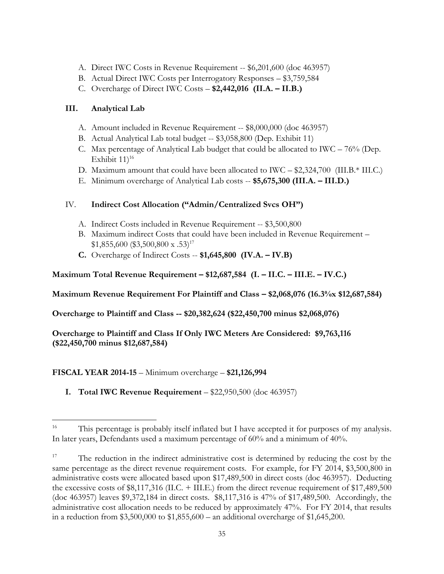- A. Direct IWC Costs in Revenue Requirement -- \$6,201,600 (doc 463957)
- B. Actual Direct IWC Costs per Interrogatory Responses \$3,759,584
- C. Overcharge of Direct IWC Costs **\$2,442,016 (II.A. – II.B.)**

# **III. Analytical Lab**

- A. Amount included in Revenue Requirement -- \$8,000,000 (doc 463957)
- B. Actual Analytical Lab total budget -- \$3,058,800 (Dep. Exhibit 11)
- C. Max percentage of Analytical Lab budget that could be allocated to IWC  $-76\%$  (Dep. Exhibit  $11$ <sup>16</sup>
- D. Maximum amount that could have been allocated to IWC \$2,324,700 (III.B.\* III.C.)
- E. Minimum overcharge of Analytical Lab costs -- **\$5,675,300 (III.A. – III.D.)**

# IV. **Indirect Cost Allocation ("Admin/Centralized Svcs OH")**

- A. Indirect Costs included in Revenue Requirement -- \$3,500,800
- B. Maximum indirect Costs that could have been included in Revenue Requirement  $$1,855,600$  (\$3,500,800 x .53)<sup>17</sup>
- **C.** Overcharge of Indirect Costs -- **\$1,645,800 (IV.A. – IV.B)**

**Maximum Total Revenue Requirement – \$12,687,584 (I. – II.C. – III.E. – IV.C.)**

**Maximum Revenue Requirement For Plaintiff and Class – \$2,068,076 (16.3%x \$12,687,584)**

**Overcharge to Plaintiff and Class -- \$20,382,624 (\$22,450,700 minus \$2,068,076)**

**Overcharge to Plaintiff and Class If Only IWC Meters Are Considered: \$9,763,116 (\$22,450,700 minus \$12,687,584)**

# **FISCAL YEAR 2014-15** – Minimum overcharge – **\$21,126,994**

**I. Total IWC Revenue Requirement** – \$22,950,500 (doc 463957)

<sup>&</sup>lt;sup>16</sup> This percentage is probably itself inflated but I have accepted it for purposes of my analysis. In later years, Defendants used a maximum percentage of 60% and a minimum of 40%.

<sup>&</sup>lt;sup>17</sup> The reduction in the indirect administrative cost is determined by reducing the cost by the same percentage as the direct revenue requirement costs. For example, for FY 2014, \$3,500,800 in administrative costs were allocated based upon \$17,489,500 in direct costs (doc 463957). Deducting the excessive costs of \$8,117,316 (II.C. + III.E.) from the direct revenue requirement of \$17,489,500 (doc 463957) leaves \$9,372,184 in direct costs. \$8,117,316 is 47% of \$17,489,500. Accordingly, the administrative cost allocation needs to be reduced by approximately 47%. For FY 2014, that results in a reduction from  $$3,500,000$  to  $$1,855,600$  – an additional overcharge of  $$1,645,200$ .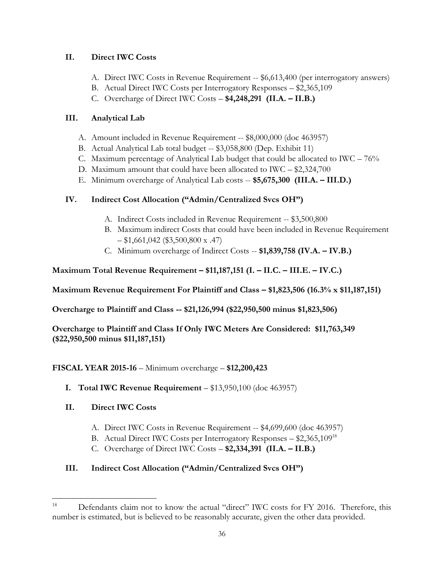# **II. Direct IWC Costs**

- A. Direct IWC Costs in Revenue Requirement -- \$6,613,400 (per interrogatory answers)
- B. Actual Direct IWC Costs per Interrogatory Responses \$2,365,109
- C. Overcharge of Direct IWC Costs **\$4,248,291 (II.A. – II.B.)**

# **III. Analytical Lab**

- A. Amount included in Revenue Requirement -- \$8,000,000 (doc 463957)
- B. Actual Analytical Lab total budget -- \$3,058,800 (Dep. Exhibit 11)
- C. Maximum percentage of Analytical Lab budget that could be allocated to IWC 76%
- D. Maximum amount that could have been allocated to IWC \$2,324,700
- E. Minimum overcharge of Analytical Lab costs -- **\$5,675,300 (III.A. – III.D.)**

# **IV. Indirect Cost Allocation ("Admin/Centralized Svcs OH")**

- A. Indirect Costs included in Revenue Requirement -- \$3,500,800
- B. Maximum indirect Costs that could have been included in Revenue Requirement  $-$ \$1,661,042 (\$3,500,800 x .47)
- C. Minimum overcharge of Indirect Costs -- **\$1,839,758 (IV.A. – IV.B.)**

**Maximum Total Revenue Requirement – \$11,187,151 (I. – II.C. – III.E. – IV.C.)**

**Maximum Revenue Requirement For Plaintiff and Class – \$1,823,506 (16.3% x \$11,187,151)**

**Overcharge to Plaintiff and Class -- \$21,126,994 (\$22,950,500 minus \$1,823,506)**

**Overcharge to Plaintiff and Class If Only IWC Meters Are Considered: \$11,763,349 (\$22,950,500 minus \$11,187,151)**

# **FISCAL YEAR 2015-16** – Minimum overcharge – **\$12,200,423**

**I. Total IWC Revenue Requirement** – \$13,950,100 (doc 463957)

# **II. Direct IWC Costs**

- A. Direct IWC Costs in Revenue Requirement -- \$4,699,600 (doc 463957)
- B. Actual Direct IWC Costs per Interrogatory Responses \$2,365,109<sup>18</sup>
- C. Overcharge of Direct IWC Costs **\$2,334,391 (II.A. – II.B.)**

# **III. Indirect Cost Allocation ("Admin/Centralized Svcs OH")**

<sup>&</sup>lt;sup>18</sup> Defendants claim not to know the actual "direct" IWC costs for FY 2016. Therefore, this number is estimated, but is believed to be reasonably accurate, given the other data provided.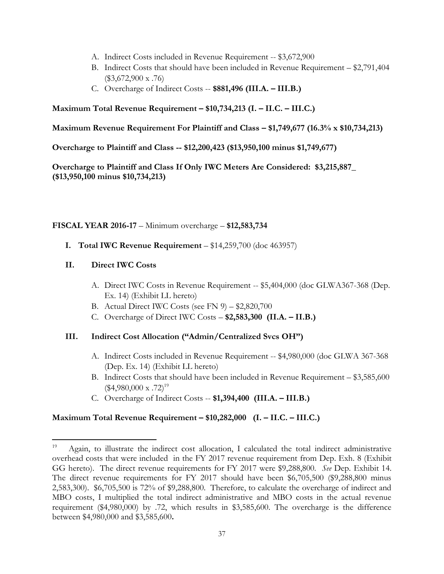- A. Indirect Costs included in Revenue Requirement -- \$3,672,900
- B. Indirect Costs that should have been included in Revenue Requirement \$2,791,404  $(\$3,672,900 \times .76)$
- C. Overcharge of Indirect Costs -- **\$881,496 (III.A. – III.B.)**

## **Maximum Total Revenue Requirement – \$10,734,213 (I. – II.C. – III.C.)**

### **Maximum Revenue Requirement For Plaintiff and Class – \$1,749,677 (16.3% x \$10,734,213)**

**Overcharge to Plaintiff and Class -- \$12,200,423 (\$13,950,100 minus \$1,749,677)**

**Overcharge to Plaintiff and Class If Only IWC Meters Are Considered: \$3,215,887\_ (\$13,950,100 minus \$10,734,213)**

## **FISCAL YEAR 2016-17** – Minimum overcharge – **\$12,583,734**

**I. Total IWC Revenue Requirement** – \$14,259,700 (doc 463957)

## **II. Direct IWC Costs**

- A. Direct IWC Costs in Revenue Requirement -- \$5,404,000 (doc GLWA367-368 (Dep. Ex. 14) (Exhibit LL hereto)
- B. Actual Direct IWC Costs (see FN  $9$ ) \$2,820,700
- C. Overcharge of Direct IWC Costs **\$2,583,300 (II.A. – II.B.)**

# **III. Indirect Cost Allocation ("Admin/Centralized Svcs OH")**

- A. Indirect Costs included in Revenue Requirement -- \$4,980,000 (doc GLWA 367-368 (Dep. Ex. 14) (Exhibit LL hereto)
- B. Indirect Costs that should have been included in Revenue Requirement \$3,585,600  $($4,980,000 \text{ x } .72)^{19}$
- C. Overcharge of Indirect Costs -- **\$1,394,400 (III.A. – III.B.)**

# **Maximum Total Revenue Requirement – \$10,282,000 (I. – II.C. – III.C.)**

<sup>19</sup> Again, to illustrate the indirect cost allocation, I calculated the total indirect administrative overhead costs that were included in the FY 2017 revenue requirement from Dep. Exh. 8 (Exhibit GG hereto). The direct revenue requirements for FY 2017 were \$9,288,800. *See* Dep. Exhibit 14. The direct revenue requirements for FY 2017 should have been \$6,705,500 (\$9,288,800 minus 2,583,300). \$6,705,500 is 72% of \$9,288,800. Therefore, to calculate the overcharge of indirect and MBO costs, I multiplied the total indirect administrative and MBO costs in the actual revenue requirement (\$4,980,000) by .72, which results in \$3,585,600. The overcharge is the difference between \$4,980,000 and \$3,585,600**.**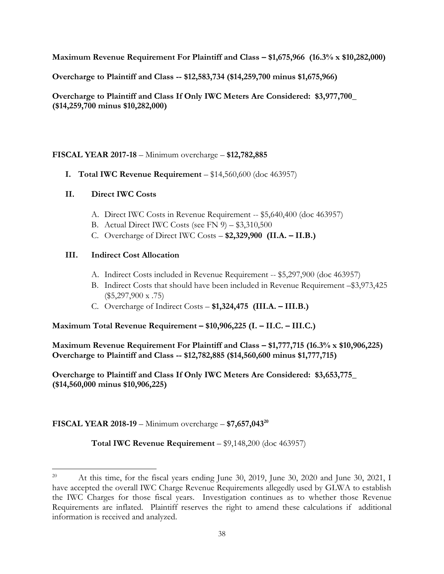**Maximum Revenue Requirement For Plaintiff and Class – \$1,675,966 (16.3% x \$10,282,000)**

**Overcharge to Plaintiff and Class -- \$12,583,734 (\$14,259,700 minus \$1,675,966)**

**Overcharge to Plaintiff and Class If Only IWC Meters Are Considered: \$3,977,700\_ (\$14,259,700 minus \$10,282,000)**

# **FISCAL YEAR 2017-18** – Minimum overcharge – **\$12,782,885**

**I. Total IWC Revenue Requirement** – \$14,560,600 (doc 463957)

# **II. Direct IWC Costs**

- A. Direct IWC Costs in Revenue Requirement -- \$5,640,400 (doc 463957)
- B. Actual Direct IWC Costs (see FN 9) \$3,310,500
- C. Overcharge of Direct IWC Costs **\$2,329,900 (II.A. – II.B.)**

# **III. Indirect Cost Allocation**

- A. Indirect Costs included in Revenue Requirement -- \$5,297,900 (doc 463957)
- B. Indirect Costs that should have been included in Revenue Requirement –\$3,973,425  $(\$5,297,900 \times .75)$
- C. Overcharge of Indirect Costs **\$1,324,475 (III.A. – III.B.)**

# **Maximum Total Revenue Requirement – \$10,906,225 (I. – II.C. – III.C.)**

**Maximum Revenue Requirement For Plaintiff and Class – \$1,777,715 (16.3% x \$10,906,225) Overcharge to Plaintiff and Class -- \$12,782,885 (\$14,560,600 minus \$1,777,715)**

**Overcharge to Plaintiff and Class If Only IWC Meters Are Considered: \$3,653,775\_ (\$14,560,000 minus \$10,906,225)**

# **FISCAL YEAR 2018-19** – Minimum overcharge – **\$7,657,043<sup>20</sup>**

**Total IWC Revenue Requirement** – \$9,148,200 (doc 463957)

<sup>&</sup>lt;sup>20</sup> At this time, for the fiscal years ending June 30, 2019, June 30, 2020 and June 30, 2021, I have accepted the overall IWC Charge Revenue Requirements allegedly used by GLWA to establish the IWC Charges for those fiscal years. Investigation continues as to whether those Revenue Requirements are inflated. Plaintiff reserves the right to amend these calculations if additional information is received and analyzed.